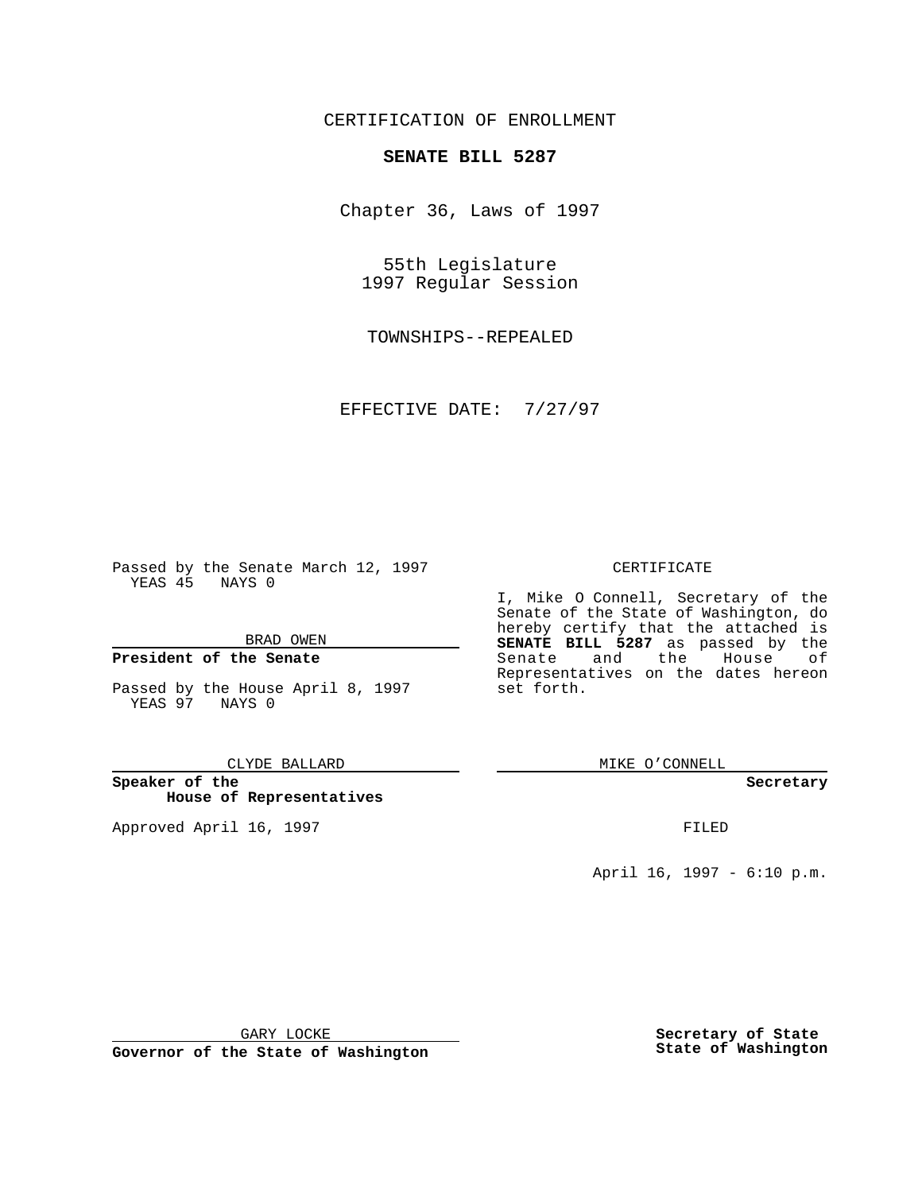CERTIFICATION OF ENROLLMENT

## **SENATE BILL 5287**

Chapter 36, Laws of 1997

55th Legislature 1997 Regular Session

TOWNSHIPS--REPEALED

EFFECTIVE DATE: 7/27/97

Passed by the Senate March 12, 1997 YEAS 45 NAYS 0

BRAD OWEN

## **President of the Senate**

Passed by the House April 8, 1997 YEAS 97 NAYS 0

#### CLYDE BALLARD

**Speaker of the House of Representatives**

Approved April 16, 1997 **FILED** 

### CERTIFICATE

I, Mike O Connell, Secretary of the Senate of the State of Washington, do hereby certify that the attached is **SENATE BILL 5287** as passed by the Senate and the House of Representatives on the dates hereon set forth.

MIKE O'CONNELL

#### **Secretary**

April 16, 1997 - 6:10 p.m.

GARY LOCKE

**Governor of the State of Washington**

**Secretary of State State of Washington**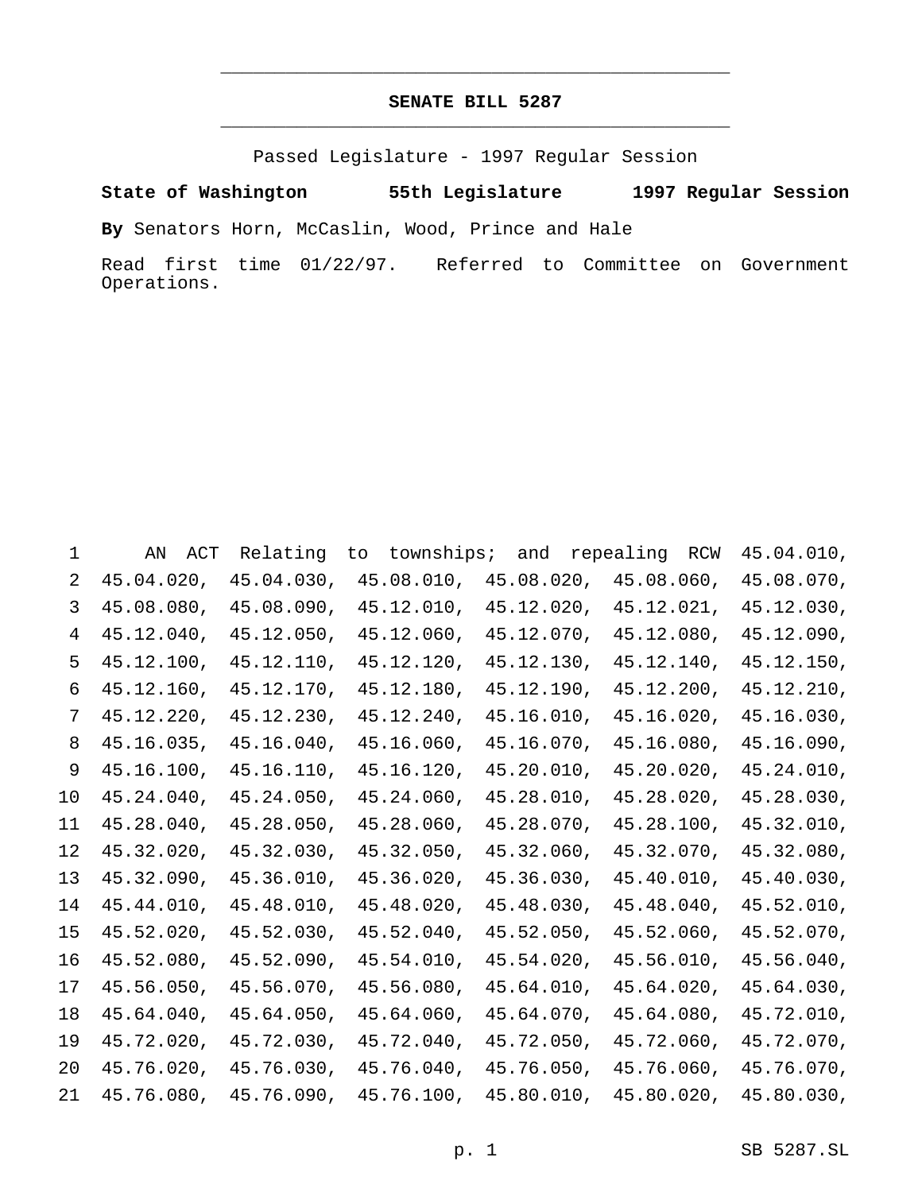# **SENATE BILL 5287** \_\_\_\_\_\_\_\_\_\_\_\_\_\_\_\_\_\_\_\_\_\_\_\_\_\_\_\_\_\_\_\_\_\_\_\_\_\_\_\_\_\_\_\_\_\_\_

\_\_\_\_\_\_\_\_\_\_\_\_\_\_\_\_\_\_\_\_\_\_\_\_\_\_\_\_\_\_\_\_\_\_\_\_\_\_\_\_\_\_\_\_\_\_\_

Passed Legislature - 1997 Regular Session

**State of Washington 55th Legislature 1997 Regular Session**

**By** Senators Horn, McCaslin, Wood, Prince and Hale

Read first time 01/22/97. Referred to Committee on Government Operations.

|    | ΑN<br>ACT  | Relating   | townships;<br>to | and        | repealing<br>RCW | 45.04.010, |
|----|------------|------------|------------------|------------|------------------|------------|
| 2  | 45.04.020, | 45.04.030, | 45.08.010,       | 45.08.020, | 45.08.060,       | 45.08.070, |
| 3  | 45.08.080, | 45.08.090, | 45.12.010,       | 45.12.020, | 45.12.021,       | 45.12.030, |
| 4  | 45.12.040, | 45.12.050, | 45.12.060,       | 45.12.070, | 45.12.080,       | 45.12.090, |
| 5  | 45.12.100, | 45.12.110, | 45.12.120,       | 45.12.130, | 45.12.140,       | 45.12.150, |
| 6  | 45.12.160, | 45.12.170, | 45.12.180,       | 45.12.190, | 45.12.200,       | 45.12.210, |
| 7  | 45.12.220, | 45.12.230, | 45.12.240,       | 45.16.010, | 45.16.020,       | 45.16.030, |
| 8  | 45.16.035, | 45.16.040, | 45.16.060,       | 45.16.070, | 45.16.080,       | 45.16.090, |
| 9  | 45.16.100, | 45.16.110, | 45.16.120,       | 45.20.010, | 45.20.020,       | 45.24.010, |
| 10 | 45.24.040, | 45.24.050, | 45.24.060,       | 45.28.010, | 45.28.020,       | 45.28.030, |
| 11 | 45.28.040, | 45.28.050, | 45.28.060,       | 45.28.070, | 45.28.100,       | 45.32.010, |
| 12 | 45.32.020, | 45.32.030, | 45.32.050,       | 45.32.060, | 45.32.070,       | 45.32.080, |
| 13 | 45.32.090, | 45.36.010, | 45.36.020,       | 45.36.030, | 45.40.010,       | 45.40.030, |
| 14 | 45.44.010, | 45.48.010, | 45.48.020,       | 45.48.030, | 45.48.040,       | 45.52.010, |
| 15 | 45.52.020, | 45.52.030, | 45.52.040,       | 45.52.050, | 45.52.060,       | 45.52.070, |
| 16 | 45.52.080, | 45.52.090, | 45.54.010,       | 45.54.020, | 45.56.010,       | 45.56.040, |
| 17 | 45.56.050, | 45.56.070, | 45.56.080,       | 45.64.010, | 45.64.020,       | 45.64.030, |
| 18 | 45.64.040, | 45.64.050, | 45.64.060,       | 45.64.070, | 45.64.080,       | 45.72.010, |
| 19 | 45.72.020, | 45.72.030, | 45.72.040,       | 45.72.050, | 45.72.060,       | 45.72.070, |
| 20 | 45.76.020, | 45.76.030, | 45.76.040,       | 45.76.050, | 45.76.060,       | 45.76.070, |
| 21 | 45.76.080, | 45.76.090, | 45.76.100,       | 45.80.010, | 45.80.020,       | 45.80.030, |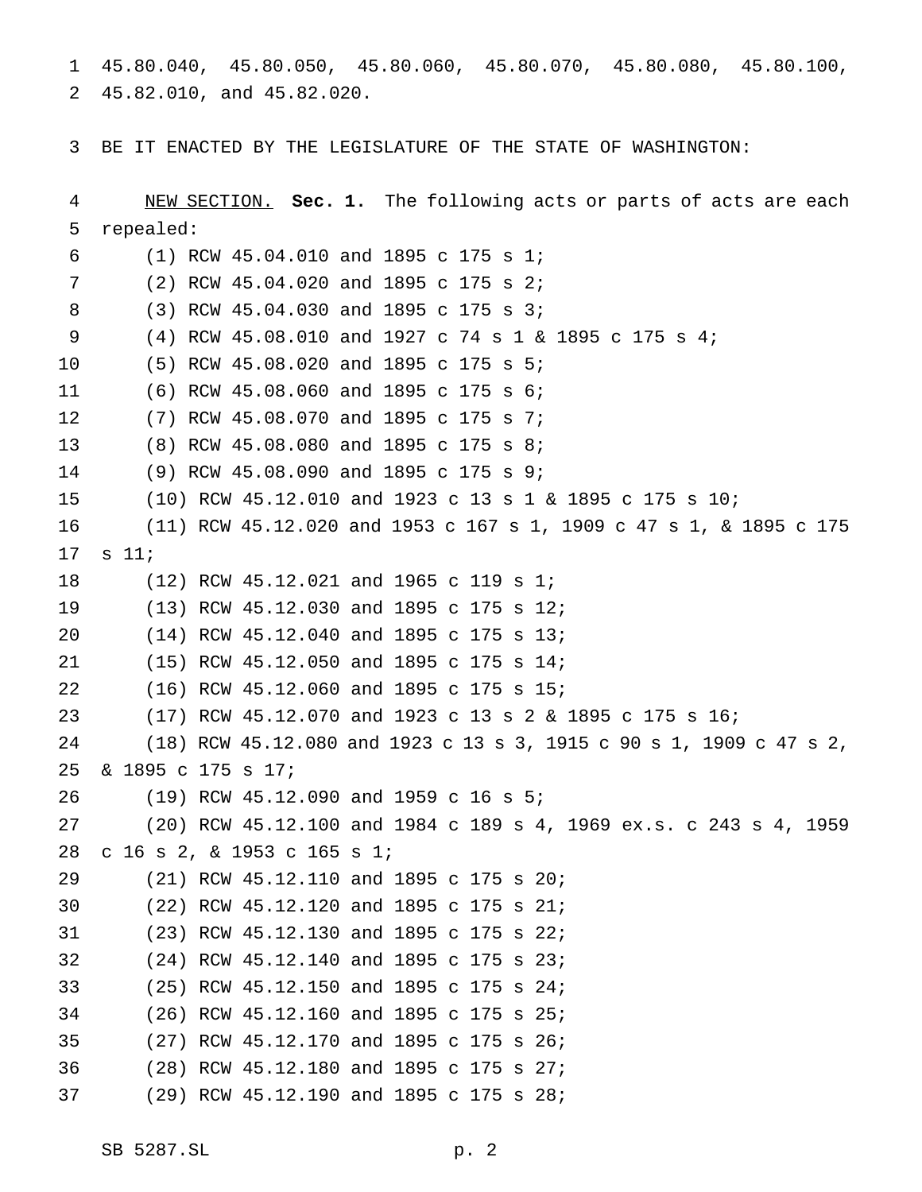45.80.040, 45.80.050, 45.80.060, 45.80.070, 45.80.080, 45.80.100,  $\mathbf{1}$ 45.82.010, and 45.82.020.  $2^{\circ}$ 

BE IT ENACTED BY THE LEGISLATURE OF THE STATE OF WASHINGTON:  $\mathbf{3}$ 

4 NEW SECTION. Sec. 1. The following acts or parts of acts are each 5 repealed: 6 (1) RCW 45.04.010 and 1895 c 175 s 1; 7 (2) RCW 45.04.020 and 1895 c 175 s 2; (3) RCW 45.04.030 and 1895 c 175 s 3; 8 (4) RCW 45.08.010 and 1927 c 74 s 1 & 1895 c 175 s 4; 9 (5) RCW 45.08.020 and 1895 c 175 s 5;  $10$ (6) RCW 45.08.060 and 1895 c 175 s 6;  $11$ (7) RCW 45.08.070 and 1895 c 175 s 7;  $12$  $13$ (8) RCW 45.08.080 and 1895 c 175 s 8; (9) RCW 45.08.090 and 1895 c 175 s 9; 14 15  $(10)$  RCW 45.12.010 and 1923 c 13 s 1 & 1895 c 175 s 10; (11) RCW 45.12.020 and 1953 c 167 s 1, 1909 c 47 s 1, & 1895 c 175 16  $17$  $s$  11; 18 (12) RCW 45.12.021 and 1965 c 119 s 1; 19  $(13)$  RCW 45.12.030 and 1895 c 175 s 12; 20 (14) RCW 45.12.040 and 1895 c 175 s 13; (15) RCW 45.12.050 and 1895 c 175 s 14; 21 (16) RCW 45.12.060 and 1895 c 175 s 15; 22 23 (17) RCW 45.12.070 and 1923 c 13 s 2 & 1895 c 175 s 16; 24 (18) RCW 45.12.080 and 1923 c 13 s 3, 1915 c 90 s 1, 1909 c 47 s 2, & 1895 c 175 s 17; 25 (19) RCW 45.12.090 and 1959 c 16 s 5; 26 27  $(20)$  RCW 45.12.100 and 1984 c 189 s 4, 1969 ex.s. c 243 s 4, 1959 28 c 16 s 2, & 1953 c 165 s 1; (21) RCW 45.12.110 and 1895 c 175 s 20; 29 30 (22) RCW 45.12.120 and 1895 c 175 s 21; 31 (23) RCW 45.12.130 and 1895 c 175 s 22; (24) RCW 45.12.140 and 1895 c 175 s 23; 32 33 (25) RCW 45.12.150 and 1895 c 175 s 24; 34  $(26)$  RCW 45.12.160 and 1895 c 175 s 25; 35 (27) RCW 45.12.170 and 1895 c 175 s 26; (28) RCW 45.12.180 and 1895 c 175 s 27; 36 37 (29) RCW 45.12.190 and 1895 c 175 s 28;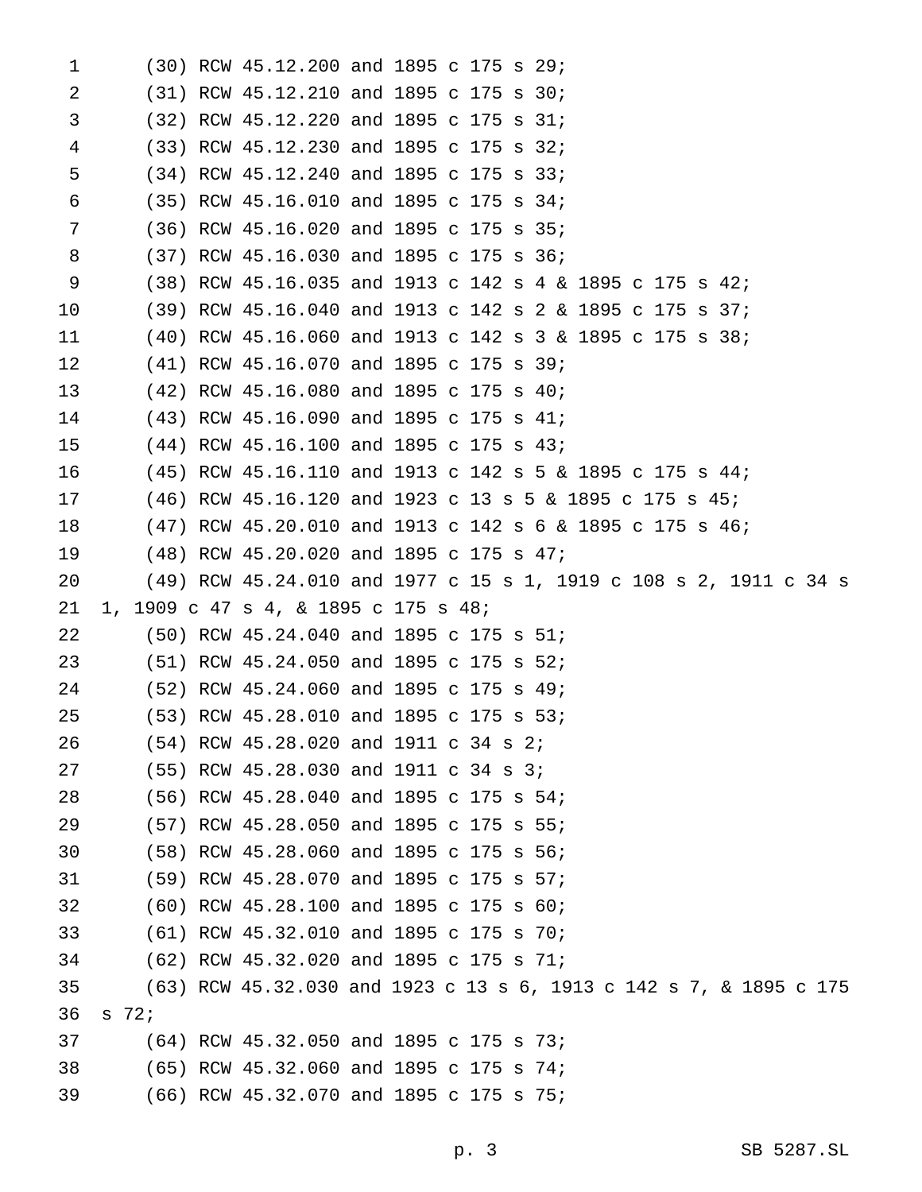| $\mathbf 1$ |                 | (30) RCW 45.12.200 and 1895 c 175 s 29;                            |  |  |  |  |  |  |  |
|-------------|-----------------|--------------------------------------------------------------------|--|--|--|--|--|--|--|
| 2           |                 | $(31)$ RCW 45.12.210 and 1895 c 175 s 30;                          |  |  |  |  |  |  |  |
| 3           |                 | $(32)$ RCW 45.12.220 and 1895 c 175 s 31;                          |  |  |  |  |  |  |  |
| 4           |                 | (33) RCW 45.12.230 and 1895 c 175 s 32;                            |  |  |  |  |  |  |  |
| 5           |                 | (34) RCW 45.12.240 and 1895 c 175 s 33;                            |  |  |  |  |  |  |  |
| 6           |                 | (35) RCW 45.16.010 and 1895 c 175 s 34;                            |  |  |  |  |  |  |  |
| 7           |                 | (36) RCW 45.16.020 and 1895 c 175 s 35;                            |  |  |  |  |  |  |  |
| 8           |                 | (37) RCW 45.16.030 and 1895 c 175 s 36;                            |  |  |  |  |  |  |  |
| 9           |                 | (38) RCW 45.16.035 and 1913 c 142 s 4 & 1895 c 175 s 42;           |  |  |  |  |  |  |  |
| 10          |                 | (39) RCW 45.16.040 and 1913 c 142 s 2 & 1895 c 175 s 37;           |  |  |  |  |  |  |  |
| 11          |                 | $(40)$ RCW 45.16.060 and 1913 c 142 s 3 & 1895 c 175 s 38;         |  |  |  |  |  |  |  |
| 12          |                 | $(41)$ RCW 45.16.070 and 1895 c 175 s 39;                          |  |  |  |  |  |  |  |
| 13          |                 | $(42)$ RCW $45.16.080$ and 1895 c 175 s 40;                        |  |  |  |  |  |  |  |
| 14          |                 | (43) RCW 45.16.090 and 1895 c 175 s 41;                            |  |  |  |  |  |  |  |
| 15          |                 | $(44)$ RCW 45.16.100 and 1895 c 175 s 43;                          |  |  |  |  |  |  |  |
| 16          |                 | $(45)$ RCW 45.16.110 and 1913 c 142 s 5 & 1895 c 175 s 44;         |  |  |  |  |  |  |  |
| 17          |                 | $(46)$ RCW 45.16.120 and 1923 c 13 s 5 & 1895 c 175 s 45;          |  |  |  |  |  |  |  |
| 18          |                 | $(47)$ RCW 45.20.010 and 1913 c 142 s 6 & 1895 c 175 s 46;         |  |  |  |  |  |  |  |
| 19          |                 | (48) RCW 45.20.020 and 1895 c 175 s 47;                            |  |  |  |  |  |  |  |
| 20          |                 | (49) RCW 45.24.010 and 1977 c 15 s 1, 1919 c 108 s 2, 1911 c 34 s  |  |  |  |  |  |  |  |
| 21          |                 | 1, 1909 c 47 s 4, & 1895 c 175 s 48;                               |  |  |  |  |  |  |  |
| 22          |                 | $(50)$ RCW 45.24.040 and 1895 c 175 s 51;                          |  |  |  |  |  |  |  |
| 23          |                 | $(51)$ RCW 45.24.050 and 1895 c 175 s 52;                          |  |  |  |  |  |  |  |
| 24          |                 | (52) RCW 45.24.060 and 1895 c 175 s 49;                            |  |  |  |  |  |  |  |
| 25          |                 | (53) RCW 45.28.010 and 1895 c 175 s 53;                            |  |  |  |  |  |  |  |
| 26          |                 | (54) RCW 45.28.020 and 1911 c 34 s 2;                              |  |  |  |  |  |  |  |
| 27          |                 | (55) RCW 45.28.030 and 1911 c 34 s 3;                              |  |  |  |  |  |  |  |
| 28          |                 | (56) RCW 45.28.040 and 1895 c 175 s 54;                            |  |  |  |  |  |  |  |
| 29          |                 | (57) RCW 45.28.050 and 1895 c 175 s 55;                            |  |  |  |  |  |  |  |
| 30          |                 | (58) RCW 45.28.060 and 1895 c 175 s 56;                            |  |  |  |  |  |  |  |
| 31          |                 | (59) RCW 45.28.070 and 1895 c 175 s 57;                            |  |  |  |  |  |  |  |
| 32          |                 | (60) RCW 45.28.100 and 1895 c 175 s 60;                            |  |  |  |  |  |  |  |
| 33          |                 | (61) RCW 45.32.010 and 1895 c 175 s 70;                            |  |  |  |  |  |  |  |
| 34          |                 | (62) RCW 45.32.020 and 1895 c 175 s 71;                            |  |  |  |  |  |  |  |
| 35          |                 | (63) RCW 45.32.030 and 1923 c 13 s 6, 1913 c 142 s 7, & 1895 c 175 |  |  |  |  |  |  |  |
| 36          | S <sub>72</sub> |                                                                    |  |  |  |  |  |  |  |
| 37          |                 | (64) RCW 45.32.050 and 1895 c 175 s 73;                            |  |  |  |  |  |  |  |
| 38          |                 | (65) RCW 45.32.060 and 1895 c 175 s 74;                            |  |  |  |  |  |  |  |
| 39          |                 | (66) RCW 45.32.070 and 1895 c 175 s 75;                            |  |  |  |  |  |  |  |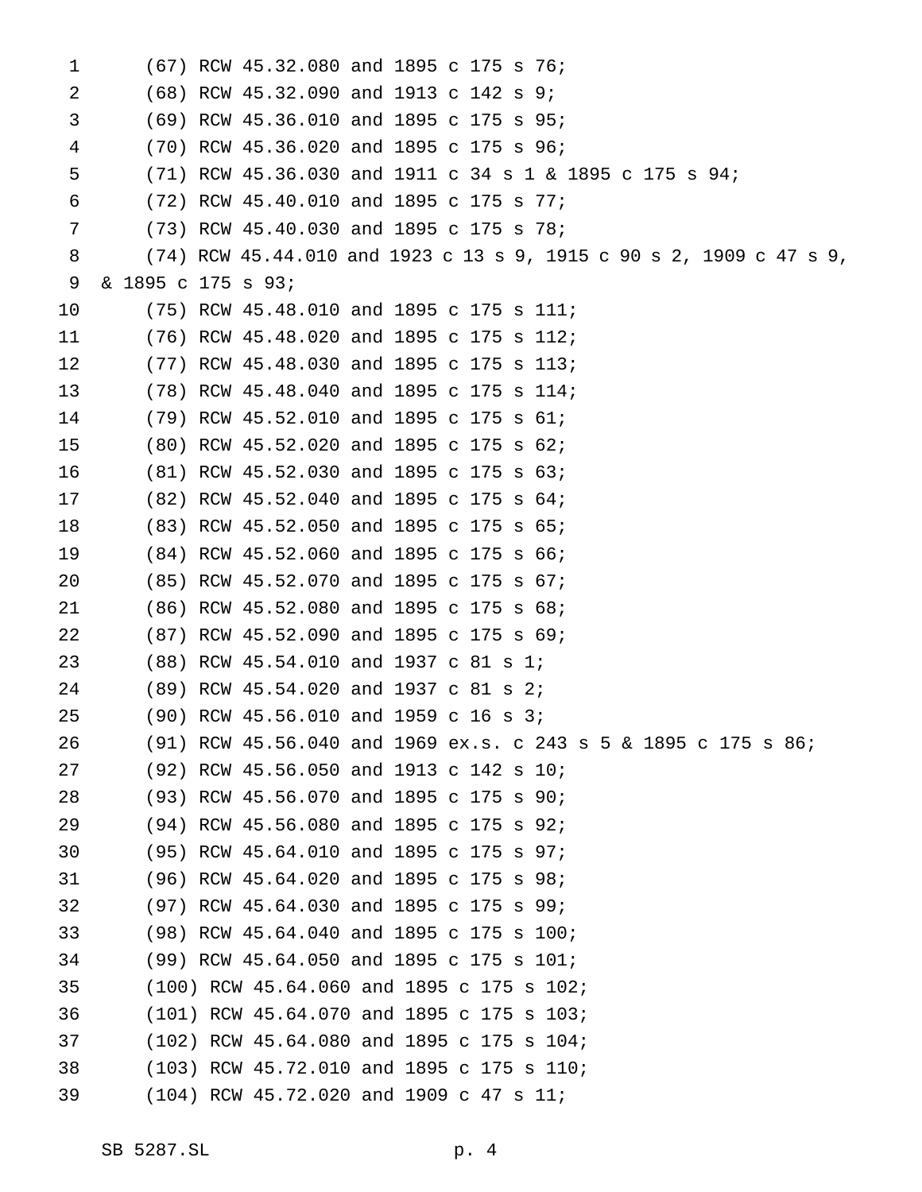| 1  |                    | (67) RCW 45.32.080 and 1895 c 175 s 76;                               |
|----|--------------------|-----------------------------------------------------------------------|
| 2  |                    | $(68)$ RCW 45.32.090 and 1913 c 142 s 9;                              |
| 3  |                    | (69) RCW 45.36.010 and 1895 c 175 s 95;                               |
| 4  |                    | (70) RCW 45.36.020 and 1895 c 175 s 96;                               |
| 5  |                    | (71) RCW 45.36.030 and 1911 c 34 s 1 & 1895 c 175 s 94;               |
| 6  |                    | $(72)$ RCW 45.40.010 and 1895 c 175 s 77;                             |
| 7  |                    | (73) RCW 45.40.030 and 1895 c 175 s 78;                               |
| 8  |                    | $(74)$ RCW 45.44.010 and 1923 c 13 s 9, 1915 c 90 s 2, 1909 c 47 s 9, |
| 9  | & 1895 c 175 s 93; |                                                                       |
| 10 |                    | $(75)$ RCW 45.48.010 and 1895 c 175 s 111;                            |
| 11 |                    | $(76)$ RCW 45.48.020 and 1895 c 175 s 112;                            |
| 12 |                    | $(77)$ RCW 45.48.030 and 1895 c 175 s 113;                            |
| 13 |                    | (78) RCW 45.48.040 and 1895 c 175 s 114;                              |
| 14 |                    | $(79)$ RCW 45.52.010 and 1895 c 175 s 61;                             |
| 15 |                    | (80) RCW 45.52.020 and 1895 c 175 s 62;                               |
| 16 |                    | $(81)$ RCW 45.52.030 and 1895 c 175 s 63;                             |
| 17 |                    | $(82)$ RCW 45.52.040 and 1895 c 175 s 64;                             |
| 18 |                    | (83) RCW 45.52.050 and 1895 c 175 s 65;                               |
| 19 |                    | (84) RCW 45.52.060 and 1895 c 175 s 66;                               |
| 20 |                    | (85) RCW 45.52.070 and 1895 c 175 s 67;                               |
| 21 |                    | $(86)$ RCW 45.52.080 and 1895 c 175 s 68;                             |
| 22 |                    | (87) RCW 45.52.090 and 1895 c 175 s 69;                               |
| 23 |                    | (88) RCW 45.54.010 and 1937 c 81 s 1;                                 |
| 24 |                    | (89) RCW 45.54.020 and 1937 c 81 s 2;                                 |
| 25 |                    | $(90)$ RCW 45.56.010 and 1959 c 16 s 3;                               |
| 26 |                    | $(91)$ RCW 45.56.040 and 1969 ex.s. c 243 s 5 & 1895 c 175 s 86;      |
| 27 |                    | (92) RCW 45.56.050 and 1913 c 142 s 10;                               |
| 28 |                    | (93) RCW 45.56.070 and 1895 c 175 s 90;                               |
| 29 |                    | (94) RCW 45.56.080 and 1895 c 175 s 92;                               |
| 30 |                    | (95) RCW 45.64.010 and 1895 c 175 s 97;                               |
| 31 |                    | (96) RCW 45.64.020 and 1895 c 175 s 98;                               |
| 32 |                    | (97) RCW 45.64.030 and 1895 c 175 s 99;                               |
| 33 |                    | (98) RCW 45.64.040 and 1895 c 175 s 100;                              |
| 34 |                    | (99) RCW 45.64.050 and 1895 c 175 s 101;                              |
| 35 |                    | (100) RCW 45.64.060 and 1895 c 175 s 102;                             |
| 36 |                    | (101) RCW 45.64.070 and 1895 c 175 s 103;                             |
| 37 |                    | (102) RCW 45.64.080 and 1895 c 175 s 104;                             |
| 38 |                    | (103) RCW 45.72.010 and 1895 c 175 s 110;                             |
| 39 |                    | $(104)$ RCW 45.72.020 and 1909 c 47 s 11;                             |